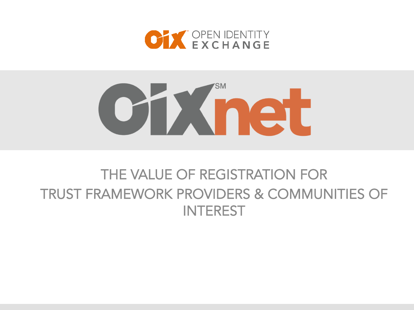

# oninet

# THE VALUE OF REGISTRATION FOR TRUST FRAMEWORK PROVIDERS & COMMUNITIES OF **INTEREST**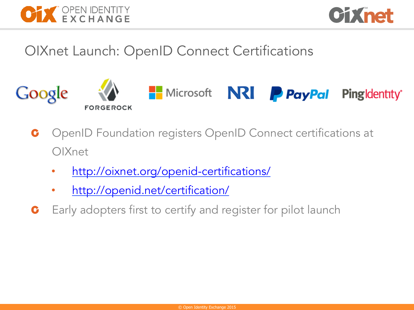



OIXnet Launch: OpenID Connect Certifications



- OpenID Foundation registers OpenID Connect certifications at  $\mathbf C$ OIXnet
	- http://oixnet.org/openid-certifications/
	- http://openid.net/certification/
- Early adopters first to certify and register for pilot launch C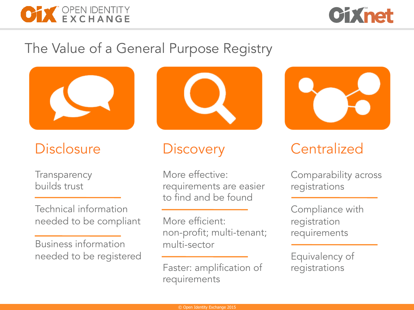



## The Value of a General Purpose Registry



# **Disclosure**

**Transparency** builds trust

Technical information needed to be compliant

Business information needed to be registered



## **Discovery**

More effective: requirements are easier to find and be found

More efficient: non-profit; multi-tenant; multi-sector

Faster: amplification of requirements



# **Centralized**

Comparability across registrations

Compliance with registration requirements

Equivalency of registrations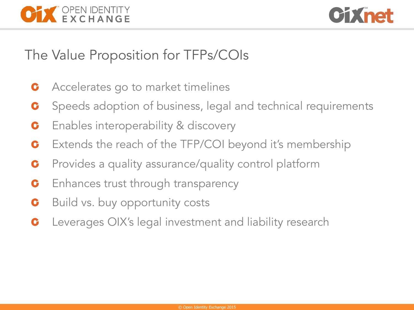



## The Value Proposition for TFPs/COIs

- Accelerates go to market timelines C
- Speeds adoption of business, legal and technical requirements C
- Enables interoperability & discovery  $\mathbf C$
- Extends the reach of the TFP/COI beyond it's membership C
- Provides a quality assurance/quality control platform  $\mathbf C$
- Enhances trust through transparency C
- Build vs. buy opportunity costs C
- Leverages OIX's legal investment and liability research C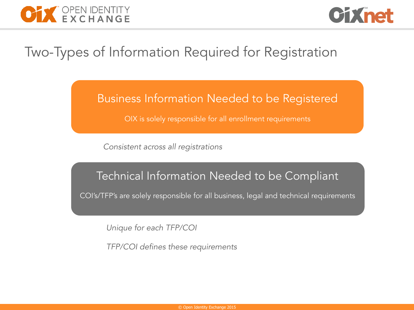



## Two-Types of Information Required for Registration

### Business Information Needed to be Registered

OIX is solely responsible for all enrollment requirements

*Consistent across all registrations* 

#### Technical Information Needed to be Compliant

COI's/TFP's are solely responsible for all business, legal and technical requirements

*Unique for each TFP/COI* 

*TFP/COI defines these requirements*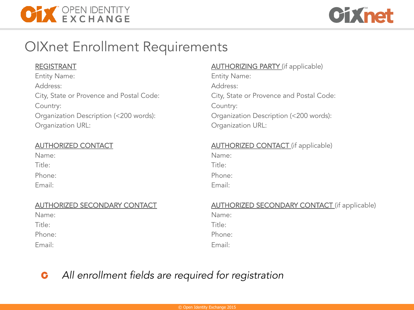



## OIXnet Enrollment Requirements

#### REGISTRANT

Entity Name: Address: City, State or Provence and Postal Code: Country: Organization Description (<200 words): Organization URL:

#### AUTHORIZED CONTACT

| Name:  |  |
|--------|--|
| Title: |  |
| Phone: |  |
| Email: |  |

#### AUTHORIZED SECONDARY CONTACT

| Name:  |  |  |
|--------|--|--|
| Title: |  |  |
| Phone: |  |  |
| Email: |  |  |

#### **AUTHORIZING PARTY** (if applicable)

Entity Name: Address: City, State or Provence and Postal Code: Country: Organization Description (<200 words): Organization URL:

#### **AUTHORIZED CONTACT** (if applicable)

Name: Title:

Phone:

Email:

#### **AUTHORIZED SECONDARY CONTACT** (if applicable)

| Name:  |  |
|--------|--|
| Title: |  |
| Phone: |  |
| Email: |  |

#### *All enrollment fields are required for registration* G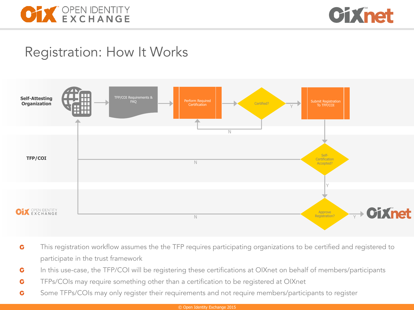



## Registration: How It Works



- This registration workflow assumes the the TFP requires participating organizations to be certified and registered to  $\mathbf G$ participate in the trust framework
- $\mathbf G$ In this use-case, the TFP/COI will be registering these certifications at OIXnet on behalf of members/participants
- TFPs/COIs may require something other than a certification to be registered at OIXnet  $\ddot{\mathbf{G}}$
- Some TFPs/COIs may only register their requirements and not require members/participants to register  $\mathbf G$